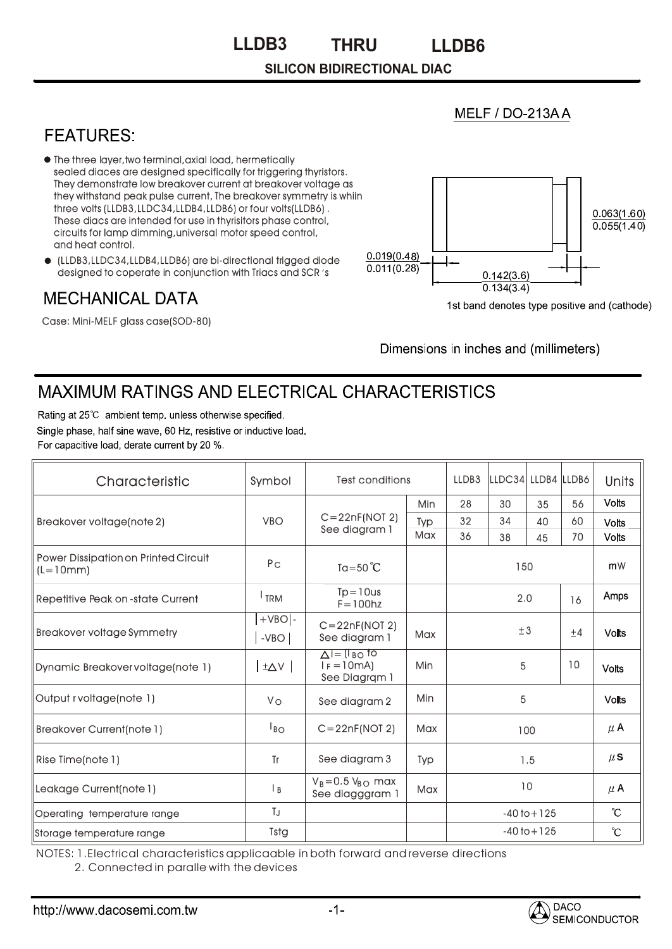**LLDB3 THRU LLDB6**

#### **SILICON BIDIRECTIONAL DIAC**

### MELF / DO-213A A

## **FFATURFS:**

- $\bullet$  The three layer, two terminal, axial load, hermetically sealed diaces are designed specifically for triggering thyristors. They demonstrate low breakover current at breakover voltage as as they withstand peak pulse current, The breakover symmetry is whiin three volts (LLDB3,LLDC34,LLDB4,LLDB6) or four volts(LLDB6) . These diacs are intended for use in thyrisitors phase control, circuits for lamp dimming,universal motor speed control, and heat control. peak pulse current, The breakover symmetry<br>B3,LLDC34,LLDB4,LLDB6) or four volts(LLDB6) .<br>> intended for use in thyrisitors phase control,<br>o dimming,universal motor speed control,
- (LLDB3,LLDC34,LLDB4,LLDB6) are bi-directional trigged diode diode designed to coperate in conjunction with Triacs and SCR's

## **MECHANICAL DATA**

Case: Mini-MELF glass case(SOD-80)



1st band denotes type positive and (cathode)

Dimensions in inches and (millimeters)

# **MAXIMUM RATINGS AND ELECTRICAL CHARACTERISTICS**

Rating at 25°C ambient temp, unless otherwise specified. Single phase, half sine wave, 60 Hz, resistive or inductive load. For capacitive load, derate current by 20 %.

| Characteristic                                            | Symbol           | <b>Test conditions</b>                                          |            | LLDB3           | LLDC34 LLDB4 LLDB6 |    |              | <b>Units</b> |
|-----------------------------------------------------------|------------------|-----------------------------------------------------------------|------------|-----------------|--------------------|----|--------------|--------------|
| Breakover voltage(note 2)                                 | <b>VBO</b>       | $C = 22nF(NOT 2)$<br>See diagram 1                              | Min        | 28              | 30                 | 35 | 56           | <b>Volts</b> |
|                                                           |                  |                                                                 | Typ        | 32              | 34                 | 40 | 60           | <b>Volts</b> |
|                                                           |                  |                                                                 | Max        | 36              | 38                 | 45 | 70           | <b>Volts</b> |
| <b>Power Dissipation on Printed Circuit</b><br>$(L=10mm)$ | P <sub>C</sub>   | Ta=50 $^{\circ}$ C                                              |            | 150             |                    |    |              | mW           |
| Repetitive Peak on -state Current                         | <sup>1</sup> TRM | $Tp = 10$ us<br>$F = 100$ hz                                    |            | 2.0             |                    |    | 16           | <b>Amps</b>  |
| <b>Breakover voltage Symmetry</b>                         | $+VBO$ -         | $C = 22nF(NOT 2)$<br>± 3                                        |            |                 |                    |    |              |              |
|                                                           | $-VBO$           | See diagram 1                                                   | Max        |                 |                    |    | $+4$         | <b>Volts</b> |
| Dynamic Breakover voltage(note 1)                         | $\pm \Delta V$   | $\Delta$ I = (I $_{\rm BO}$ to<br>$I_F = 10mA$<br>See Diagram 1 | Min        | 5               |                    | 10 | <b>Volts</b> |              |
| Output rvoltage(note 1)                                   | Vo               | See diagram 2                                                   | Min        | 5               |                    |    | <b>Volts</b> |              |
| <b>Breakover Current(note 1)</b>                          | $I_{BO}$         | $C = 22nF(NOT 2)$                                               | <b>Max</b> | 100             |                    |    | $\mu$ A      |              |
| Rise Time(note 1)                                         | Tr               | See diagram 3                                                   | Typ        | 1.5             |                    |    | $\mu$ S      |              |
| Leakage Current(note 1)                                   | I B              | $V_B = 0.5 V_{BO}$ max<br>See diagggram 1                       | Max        | 10              |                    |    | $\mu$ A      |              |
| Operating temperature range                               | ТJ               |                                                                 |            | $-40$ to $+125$ |                    |    | °C           |              |
| Storage temperature range                                 | Tstg             |                                                                 |            | $-40$ to $+125$ |                    |    | °C           |              |

NOTES: 1.Electrical characteristics applicaable in both forward and reverse directions 2. Connected in paralle with the devices